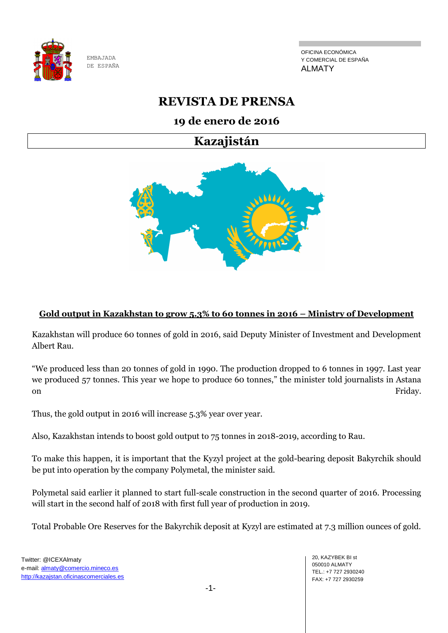

OFICINA ECONÓMICA Y COMERCIAL DE ESPAÑA ALMATY

# **REVISTA DE PRENSA**

## **19 de enero de 2016**

# **Kazajistán**



## **Gold output in Kazakhstan to grow 5.3% to 60 tonnes in 2016 – Ministry of Development**

Kazakhstan will produce 60 tonnes of gold in 2016, said Deputy Minister of Investment and Development Albert Rau.

"We produced less than 20 tonnes of gold in 1990. The production dropped to 6 tonnes in 1997. Last year we produced 57 tonnes. This year we hope to produce 60 tonnes," the minister told journalists in Astana on Friday.

Thus, the gold output in 2016 will increase 5.3% year over year.

Also, Kazakhstan intends to boost gold output to 75 tonnes in 2018-2019, according to Rau.

To make this happen, it is important that the Kyzyl project at the gold-bearing deposit Bakyrchik should be put into operation by the company Polymetal, the minister said.

Polymetal said earlier it planned to start full-scale construction in the second quarter of 2016. Processing will start in the second half of 2018 with first full year of production in 2019.

Total Probable Ore Reserves for the Bakyrchik deposit at Kyzyl are estimated at 7.3 million ounces of gold.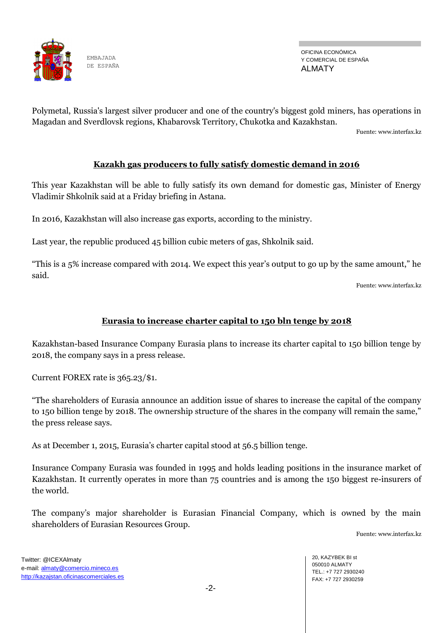

OFICINA ECONÓMICA Y COMERCIAL DE ESPAÑA ALMATY

Polymetal, Russia's largest silver producer and one of the country's biggest gold miners, has operations in Magadan and Sverdlovsk regions, Khabarovsk Territory, Chukotka and Kazakhstan.

Fuente[: www.interfax.kz](https://www.interfax.kz/)

#### **Kazakh gas producers to fully satisfy domestic demand in 2016**

This year Kazakhstan will be able to fully satisfy its own demand for domestic gas, Minister of Energy Vladimir Shkolnik said at a Friday briefing in Astana.

In 2016, Kazakhstan will also increase gas exports, according to the ministry.

Last year, the republic produced 45 billion cubic meters of gas, Shkolnik said.

"This is a 5% increase compared with 2014. We expect this year's output to go up by the same amount," he said.

Fuente[: www.interfax.kz](https://www.interfax.kz/)

## **Eurasia to increase charter capital to 150 bln tenge by 2018**

Kazakhstan-based Insurance Company Eurasia plans to increase its charter capital to 150 billion tenge by 2018, the company says in a press release.

Current FOREX rate is 365.23/\$1.

"The shareholders of Eurasia announce an addition issue of shares to increase the capital of the company to 150 billion tenge by 2018. The ownership structure of the shares in the company will remain the same," the press release says.

As at December 1, 2015, Eurasia's charter capital stood at 56.5 billion tenge.

Insurance Company Eurasia was founded in 1995 and holds leading positions in the insurance market of Kazakhstan. It currently operates in more than 75 countries and is among the 150 biggest re-insurers of the world.

The company's major shareholder is Eurasian Financial Company, which is owned by the main shareholders of Eurasian Resources Group.

Fuente[: www.interfax.kz](https://www.interfax.kz/)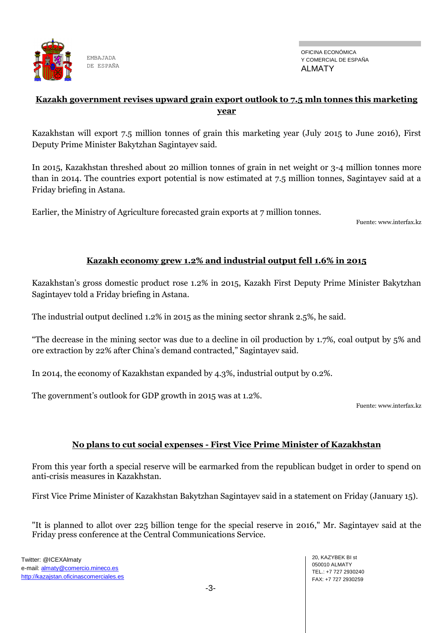

### **Kazakh government revises upward grain export outlook to 7.5 mln tonnes this marketing year**

Kazakhstan will export 7.5 million tonnes of grain this marketing year (July 2015 to June 2016), First Deputy Prime Minister Bakytzhan Sagintayev said.

In 2015, Kazakhstan threshed about 20 million tonnes of grain in net weight or 3-4 million tonnes more than in 2014. The countries export potential is now estimated at 7.5 million tonnes, Sagintayev said at a Friday briefing in Astana.

Earlier, the Ministry of Agriculture forecasted grain exports at 7 million tonnes.

Fuente[: www.interfax.kz](https://www.interfax.kz/)

#### **Kazakh economy grew 1.2% and industrial output fell 1.6% in 2015**

Kazakhstan's gross domestic product rose 1.2% in 2015, Kazakh First Deputy Prime Minister Bakytzhan Sagintayev told a Friday briefing in Astana.

The industrial output declined 1.2% in 2015 as the mining sector shrank 2.5%, he said.

"The decrease in the mining sector was due to a decline in oil production by 1.7%, coal output by 5% and ore extraction by 22% after China's demand contracted," Sagintayev said.

In 2014, the economy of Kazakhstan expanded by 4.3%, industrial output by 0.2%.

The government's outlook for GDP growth in 2015 was at 1.2%.

Fuente[: www.interfax.kz](https://www.interfax.kz/)

#### **No plans to cut social expenses - First Vice Prime Minister of Kazakhstan**

From this year forth a special reserve will be earmarked from the republican budget in order to spend on anti-crisis measures in Kazakhstan.

First Vice Prime Minister of Kazakhstan Bakytzhan Sagintayev said in a statement on Friday (January 15).

"It is planned to allot over 225 billion tenge for the special reserve in 2016," Mr. Sagintayev said at the Friday press conference at the Central Communications Service.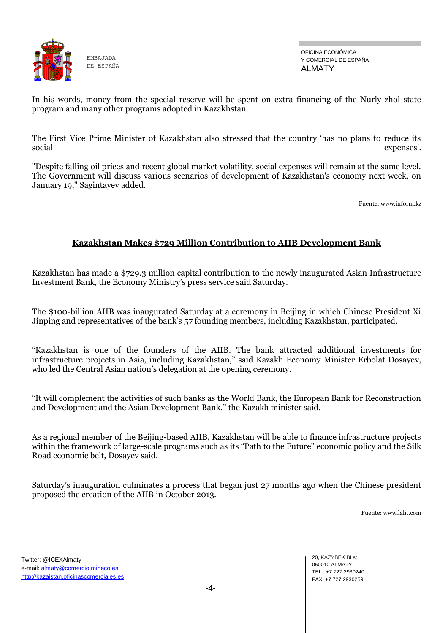

OFICINA ECONÓMICA Y COMERCIAL DE ESPAÑA ALMATY

In his words, money from the special reserve will be spent on extra financing of the Nurly zhol state program and many other programs adopted in Kazakhstan.

The First Vice Prime Minister of Kazakhstan also stressed that the country 'has no plans to reduce its social expenses'.

"Despite falling oil prices and recent global market volatility, social expenses will remain at the same level. The Government will discuss various scenarios of development of Kazakhstan's economy next week, on January 19," Sagintayev added.

Fuente: www.inform.kz

#### **Kazakhstan Makes \$729 Million Contribution to AIIB Development Bank**

Kazakhstan has made a \$729.3 million capital contribution to the newly inaugurated Asian Infrastructure Investment Bank, the Economy Ministry's press service said Saturday.

The \$100-billion AIIB was inaugurated Saturday at a ceremony in Beijing in which Chinese President Xi Jinping and representatives of the bank's 57 founding members, including Kazakhstan, participated.

"Kazakhstan is one of the founders of the AIIB. The bank attracted additional investments for infrastructure projects in Asia, including Kazakhstan," said Kazakh Economy Minister Erbolat Dosayev, who led the Central Asian nation's delegation at the opening ceremony.

"It will complement the activities of such banks as the World Bank, the European Bank for Reconstruction and Development and the Asian Development Bank," the Kazakh minister said.

As a regional member of the Beijing-based AIIB, Kazakhstan will be able to finance infrastructure projects within the framework of large-scale programs such as its "Path to the Future" economic policy and the Silk Road economic belt, Dosayev said.

Saturday's inauguration culminates a process that began just 27 months ago when the Chinese president proposed the creation of the AIIB in October 2013.

Fuente: www.laht.com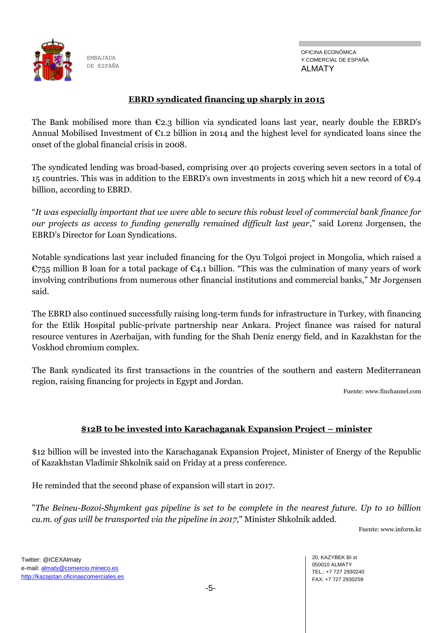

#### **EBRD syndicated financing up sharply in 2015**

The Bank mobilised more than  $\mathfrak{C}2.3$  billion via syndicated loans last year, nearly double the EBRD's Annual Mobilised Investment of €1.2 billion in 2014 and the highest level for syndicated loans since the onset of the global financial crisis in 2008.

The syndicated lending was broad-based, comprising over 40 projects covering seven sectors in a total of 15 countries. This was in addition to the EBRD's own investments in 2015 which hit a new record of  $\epsilon_{9.4}$ billion, according to EBRD.

"*It was especially important that we were able to secure this robust level of commercial bank finance for our projects as access to funding generally remained difficult last year*," said Lorenz Jorgensen, the EBRD's Director for Loan Syndications.

Notable syndications last year included financing for the Oyu Tolgoi project in Mongolia, which raised a €755 million B loan for a total package of €4.1 billion. "This was the culmination of many years of work involving contributions from numerous other financial institutions and commercial banks," Mr Jorgensen said.

The EBRD also continued successfully raising long-term funds for infrastructure in Turkey, with financing for the Etlik Hospital public-private partnership near Ankara. Project finance was raised for natural resource ventures in Azerbaijan, with funding for the Shah Deniz energy field, and in Kazakhstan for the Voskhod chromium complex.

The Bank syndicated its first transactions in the countries of the southern and eastern Mediterranean region, raising financing for projects in Egypt and Jordan.

Fuente: www.finchannel.com

## **\$12B to be invested into Karachaganak Expansion Project – minister**

\$12 billion will be invested into the Karachaganak Expansion Project, Minister of Energy of the Republic of Kazakhstan Vladimir Shkolnik said on Friday at a press conference.

He reminded that the second phase of expansion will start in 2017.

"*The Beineu-Bozoi-Shymkent gas pipeline is set to be complete in the nearest future. Up to 10 billion cu.m. of gas will be transported via the pipeline in 2017*," Minister Shkolnik added.

Fuente: www.inform.kz

Twitter: @ICEXAlmaty e-mail: almaty@comercio.mineco.es http://kazajstan.oficinascomerciales.es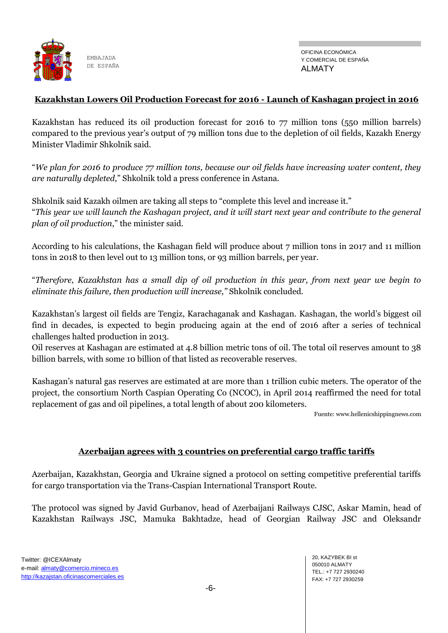

#### **Kazakhstan Lowers Oil Production Forecast for 2016 - Launch of Kashagan project in 2016**

Kazakhstan has reduced its oil production forecast for 2016 to 77 million tons (550 million barrels) compared to the previous year's output of 79 million tons due to the depletion of oil fields, Kazakh Energy Minister Vladimir Shkolnik said.

"*We plan for 2016 to produce 77 million tons, because our oil fields have increasing water content, they are naturally depleted*," Shkolnik told a press conference in Astana.

Shkolnik said Kazakh oilmen are taking all steps to "complete this level and increase it." "*This year we will launch the Kashagan project, and it will start next year and contribute to the general plan of oil production*," the minister said.

According to his calculations, the Kashagan field will produce about 7 million tons in 2017 and 11 million tons in 2018 to then level out to 13 million tons, or 93 million barrels, per year.

"*Therefore, Kazakhstan has a small dip of oil production in this year, from next year we begin to eliminate this failure, then production will increase,"* Shkolnik concluded.

Kazakhstan's largest oil fields are Tengiz, Karachaganak and Kashagan. Kashagan, the world's biggest oil find in decades, is expected to begin producing again at the end of 2016 after a series of technical challenges halted production in 2013.

Oil reserves at Kashagan are estimated at 4.8 billion metric tons of oil. The total oil reserves amount to 38 billion barrels, with some 10 billion of that listed as recoverable reserves.

Kashagan's natural gas reserves are estimated at are more than 1 trillion cubic meters. The operator of the project, the consortium North Caspian Operating Co (NCOC), in April 2014 reaffirmed the need for total replacement of gas and oil pipelines, a total length of about 200 kilometers.

Fuente: www.hellenicshippingnews.com

#### **Azerbaijan agrees with 3 countries on preferential cargo traffic tariffs**

Azerbaijan, Kazakhstan, Georgia and Ukraine signed a protocol on setting competitive preferential tariffs for cargo transportation via the Trans-Caspian International Transport Route.

The protocol was signed by Javid Gurbanov, head of Azerbaijani Railways CJSC, Askar Mamin, head of Kazakhstan Railways JSC, Mamuka Bakhtadze, head of Georgian Railway JSC and Oleksandr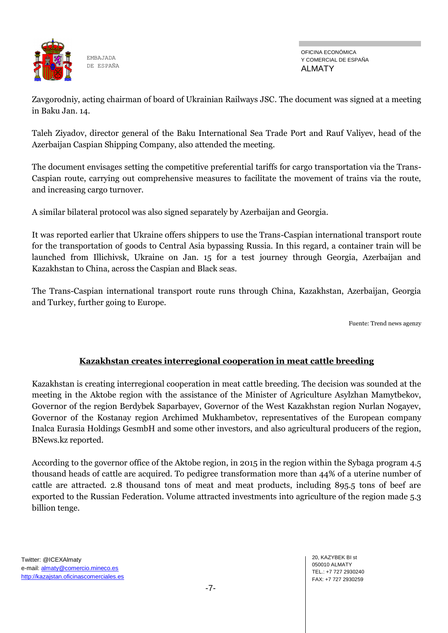

OFICINA ECONÓMICA Y COMERCIAL DE ESPAÑA ALMATY

Zavgorodniy, acting chairman of board of Ukrainian Railways JSC. The document was signed at a meeting in Baku Jan. 14.

Taleh Ziyadov, director general of the Baku International Sea Trade Port and Rauf Valiyev, head of the Azerbaijan Caspian Shipping Company, also attended the meeting.

The document envisages setting the competitive preferential tariffs for cargo transportation via the Trans-Caspian route, carrying out comprehensive measures to facilitate the movement of trains via the route, and increasing cargo turnover.

A similar bilateral protocol was also signed separately by Azerbaijan and Georgia.

It was reported earlier that Ukraine offers shippers to use the Trans-Caspian international transport route for the transportation of goods to Central Asia bypassing Russia. In this regard, a container train will be launched from Illichivsk, Ukraine on Jan. 15 for a test journey through Georgia, Azerbaijan and Kazakhstan to China, across the Caspian and Black seas.

The Trans-Caspian international transport route runs through China, Kazakhstan, Azerbaijan, Georgia and Turkey, further going to Europe.

Fuente: Trend news agenzy

## **Kazakhstan creates interregional cooperation in meat cattle breeding**

Kazakhstan is creating interregional cooperation in meat cattle breeding. The decision was sounded at the meeting in the Aktobe region with the assistance of the Minister of Agriculture Asylzhan Mamytbekov, Governor of the region Berdybek Saparbayev, Governor of the West Kazakhstan region Nurlan Nogayev, Governor of the Kostanay region Archimed Mukhambetov, representatives of the European company Inalca Eurasia Holdings GesmbH and some other investors, and also agricultural producers of the region, BNews.kz reported.

According to the governor office of the Aktobe region, in 2015 in the region within the Sybaga program 4.5 thousand heads of cattle are acquired. To pedigree transformation more than 44% of a uterine number of cattle are attracted. 2.8 thousand tons of meat and meat products, including 895.5 tons of beef are exported to the Russian Federation. Volume attracted investments into agriculture of the region made 5.3 billion tenge.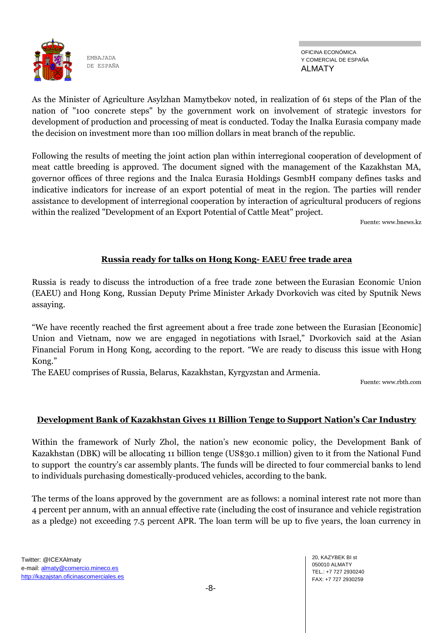

OFICINA ECONÓMICA Y COMERCIAL DE ESPAÑA ALMATY

As the Minister of Agriculture Asylzhan Mamytbekov noted, in realization of 61 steps of the Plan of the nation of "100 concrete steps" by the government work on involvement of strategic investors for development of production and processing of meat is conducted. Today the Inalka Eurasia company made the decision on investment more than 100 million dollars in meat branch of the republic.

Following the results of meeting the joint action plan within interregional cooperation of development of meat cattle breeding is approved. The document signed with the management of the Kazakhstan MA, governor offices of three regions and the Inalca Eurasia Holdings GesmbH company defines tasks and indicative indicators for increase of an export potential of meat in the region. The parties will render assistance to development of interregional cooperation by interaction of agricultural producers of regions within the realized "Development of an Export Potential of Cattle Meat" project.

Fuente: www.bnews.kz

## **Russia ready for talks on Hong Kong- EAEU free trade area**

Russia is ready to discuss the introduction of a free trade zone between the Eurasian Economic Union (EAEU) and Hong Kong, Russian Deputy Prime Minister Arkady Dvorkovich was cited by Sputnik News a[ssaying.](http://sputniknews.com/business/20160118/1033296408/eeu-hong-kong-free-trade-zone.html#ixzz3xZMfcSA7)

"We have recently reached the first agreement about a free trade zone between the Eurasian [Economic] Union and Vietnam, now we are engaged in negotiations with Israel," Dvorkovich said at the Asian Financial Forum in Hong Kong, according to the report. "We are ready to discuss this issue with Hong Kong."

The EAEU comprises of Russia, Belarus, Kazakhstan, Kyrgyzstan and Armenia.

Fuente: www.rbth.com

## **Development Bank of Kazakhstan Gives 11 Billion Tenge to Support Nation's Car Industry**

Within the framework of Nurly Zhol, the nation's new economic policy, the Development Bank of Kazakhstan (DBK) will be allocating 11 billion tenge (US\$30.1 million) given to it from the National Fund to support the country's car assembly plants. The funds will be directed to four commercial banks to lend to individuals purchasing domestically-produced vehicles, according to the bank.

The terms of the loans approved by the government are as follows: a nominal interest rate not more than 4 percent per annum, with an annual effective rate (including the cost of insurance and vehicle registration as a pledge) not exceeding 7.5 percent APR. The loan term will be up to five years, the loan currency in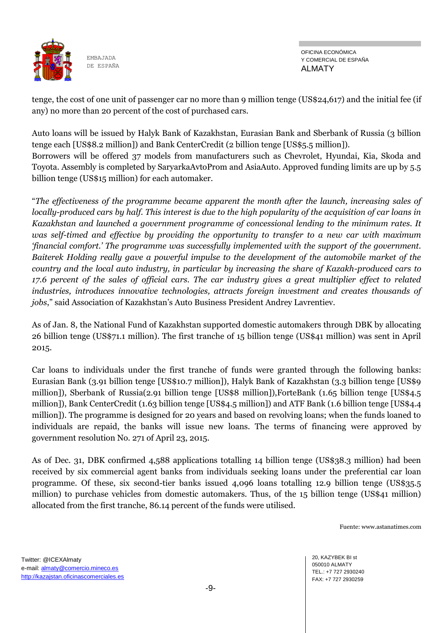

tenge, the cost of one unit of passenger car no more than 9 million tenge (US\$24,617) and the initial fee (if any) no more than 20 percent of the cost of purchased cars.

Auto loans will be issued by Halyk Bank of Kazakhstan, Eurasian Bank and Sberbank of Russia (3 billion tenge each [US\$8.2 million]) and Bank CenterCredit (2 billion tenge [US\$5.5 million]). Borrowers will be offered 37 models from manufacturers such as Chevrolet, Hyundai, Kia, Skoda and Toyota. Assembly is completed by SaryarkaAvtoProm and AsiaAuto. Approved funding limits are up by 5.5 billion tenge (US\$15 million) for each automaker.

"*The effectiveness of the programme became apparent the month after the launch, increasing sales of locally-produced cars by half. This interest is due to the high popularity of the acquisition of car loans in Kazakhstan and launched a government programme of concessional lending to the minimum rates. It was self-timed and effective by providing the opportunity to transfer to a new car with maximum 'financial comfort.' The programme was successfully implemented with the support of the government. Baiterek Holding really gave a powerful impulse to the development of the automobile market of the country and the local auto industry, in particular by increasing the share of Kazakh-produced cars to 17.6 percent of the sales of official cars. The car industry gives a great multiplier effect to related industries, introduces innovative technologies, attracts foreign investment and creates thousands of jobs*," said Association of Kazakhstan's Auto Business President Andrey Lavrentiev.

As of Jan. 8, the National Fund of Kazakhstan supported domestic automakers through DBK by allocating 26 billion tenge (US\$71.1 million). The first tranche of 15 billion tenge (US\$41 million) was sent in April 2015.

Car loans to individuals under the first tranche of funds were granted through the following banks: Eurasian Bank (3.91 billion tenge [US\$10.7 million]), Halyk Bank of Kazakhstan (3.3 billion tenge [US\$9 million]), Sberbank of Russia(2.91 billion tenge [US\$8 million]),ForteBank (1.65 billion tenge [US\$4.5 million]), Bank CenterCredit (1.63 billion tenge [US\$4.5 million]) and ATF Bank (1.6 billion tenge [US\$4.4 million]). The programme is designed for 20 years and based on revolving loans; when the funds loaned to individuals are repaid, the banks will issue new loans. The terms of financing were approved by government resolution No. 271 of April 23, 2015.

As of Dec. 31, DBK confirmed 4,588 applications totalling 14 billion tenge (US\$38.3 million) had been received by six commercial agent banks from individuals seeking loans under the preferential car loan programme. Of these, six second-tier banks issued 4,096 loans totalling 12.9 billion tenge (US\$35.5 million) to purchase vehicles from domestic automakers. Thus, of the 15 billion tenge (US\$41 million) allocated from the first tranche, 86.14 percent of the funds were utilised.

Fuente: www.astanatimes.com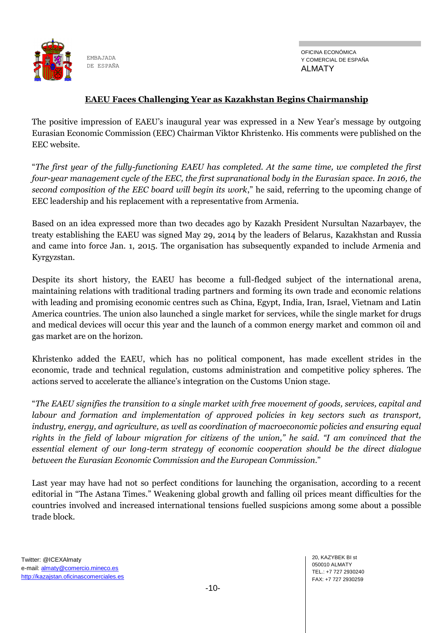

### **EAEU Faces Challenging Year as Kazakhstan Begins Chairmanship**

The positive impression of EAEU's inaugural year was expressed in a New Year's message by outgoing Eurasian Economic Commission (EEC) Chairman Viktor Khristenko. His comments were published on the EEC website.

"*The first year of the fully-functioning EAEU has completed. At the same time, we completed the first four-year management cycle of the EEC, the first supranational body in the Eurasian space. In 2016, the second composition of the EEC board will begin its work*," he said, referring to the upcoming change of EEC leadership and his replacement with a representative from Armenia.

Based on an idea expressed more than two decades ago by Kazakh President Nursultan Nazarbayev, the treaty establishing the EAEU was signed May 29, 2014 by the leaders of Belarus, Kazakhstan and Russia and came into force Jan. 1, 2015. The organisation has subsequently expanded to include Armenia and Kyrgyzstan.

Despite its short history, the EAEU has become a full-fledged subject of the international arena, maintaining relations with traditional trading partners and forming its own trade and economic relations with leading and promising economic centres such as China, Egypt, India, Iran, Israel, Vietnam and Latin America countries. The union also launched a single market for services, while the single market for drugs and medical devices will occur this year and the launch of a common energy market and common oil and gas market are on the horizon.

Khristenko added the EAEU, which has no political component, has made excellent strides in the economic, trade and technical regulation, customs administration and competitive policy spheres. The actions served to accelerate the alliance's integration on the Customs Union stage.

"*The EAEU signifies the transition to a single market with free movement of goods, services, capital and labour and formation and implementation of approved policies in key sectors such as transport, industry, energy, and agriculture, as well as coordination of macroeconomic policies and ensuring equal rights in the field of labour migration for citizens of the union," he said. "I am convinced that the essential element of our long-term strategy of economic cooperation should be the direct dialogue between the Eurasian Economic Commission and the European Commission*."

Last year may have had not so perfect conditions for launching the organisation, according to a recent editorial in "The Astana Times." Weakening global growth and falling oil prices meant difficulties for the countries involved and increased international tensions fuelled suspicions among some about a possible trade block.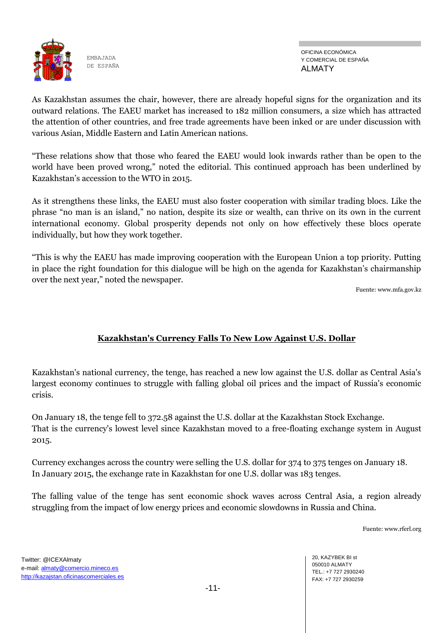

OFICINA ECONÓMICA Y COMERCIAL DE ESPAÑA ALMATY

As Kazakhstan assumes the chair, however, there are already hopeful signs for the organization and its outward relations. The EAEU market has increased to 182 million consumers, a size which has attracted the attention of other countries, and free trade agreements have been inked or are under discussion with various Asian, Middle Eastern and Latin American nations.

"These relations show that those who feared the EAEU would look inwards rather than be open to the world have been proved wrong," noted the editorial. This continued approach has been underlined by Kazakhstan's accession to the WTO in 2015.

As it strengthens these links, the EAEU must also foster cooperation with similar trading blocs. Like the phrase "no man is an island," no nation, despite its size or wealth, can thrive on its own in the current international economy. Global prosperity depends not only on how effectively these blocs operate individually, but how they work together.

"This is why the EAEU has made improving cooperation with the European Union a top priority. Putting in place the right foundation for this dialogue will be high on the agenda for Kazakhstan's chairmanship over the next year," noted the newspaper.

Fuente: www.mfa.gov.kz

## **Kazakhstan's Currency Falls To New Low Against U.S. Dollar**

Kazakhstan's national currency, the tenge, has reached a new low against the U.S. dollar as Central Asia's largest economy continues to struggle with falling global oil prices and the impact of Russia's economic crisis.

On January 18, the tenge fell to 372.58 against the U.S. dollar at the Kazakhstan Stock Exchange. That is the currency's lowest level since Kazakhstan moved to a free-floating exchange system in August 2015.

Currency exchanges across the country were selling the U.S. dollar for 374 to 375 tenges on January 18. In January 2015, the exchange rate in Kazakhstan for one U.S. dollar was 183 tenges.

The falling value of the tenge has sent economic shock waves across Central Asia, a region already struggling from the impact of low energy prices and economic slowdowns in Russia and China.

Fuente: www.rferl.org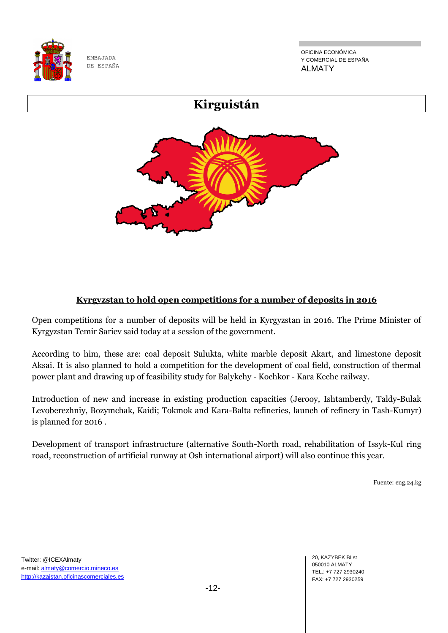

OFICINA ECONÓMICA Y COMERCIAL DE ESPAÑA ALMATY



## **Kyrgyzstan to hold open competitions for a number of deposits in 2016**

Open competitions for a number of deposits will be held in Kyrgyzstan in 2016. The Prime Minister of Kyrgyzstan Temir Sariev said today at a session of the government.

According to him, these are: coal deposit Sulukta, white marble deposit Akart, and limestone deposit Aksai. It is also planned to hold a competition for the development of coal field, construction of thermal power plant and drawing up of feasibility study for Balykchy - Kochkor - Kara Keche railway.

Introduction of new and increase in existing production capacities (Jerooy, Ishtamberdy, Taldy-Bulak Levoberezhniy, Bozymchak, Kaidi; Tokmok and Kara-Balta refineries, launch of refinery in Tash-Kumyr) is planned for 2016 .

Development of transport infrastructure (alternative South-North road, rehabilitation of Issyk-Kul ring road, reconstruction of artificial runway at Osh international airport) will also continue this year.

Fuente: eng.24.kg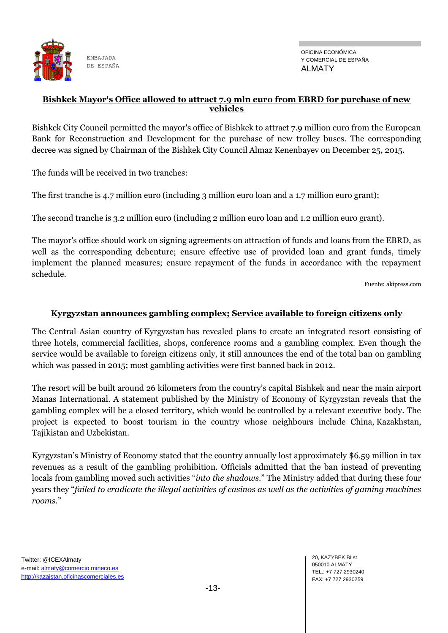

#### **Bishkek Mayor's Office allowed to attract 7.9 mln euro from EBRD for purchase of new vehicles**

Bishkek City Council permitted the mayor's office of Bishkek to attract 7.9 million euro from the European Bank for Reconstruction and Development for the purchase of new trolley buses. The corresponding decree was signed by Chairman of the Bishkek City Council Almaz Kenenbayev on December 25, 2015.

The funds will be received in two tranches:

The first tranche is 4.7 million euro (including 3 million euro loan and a 1.7 million euro grant);

The second tranche is 3.2 million euro (including 2 million euro loan and 1.2 million euro grant).

The mayor's office should work on signing agreements on attraction of funds and loans from the EBRD, as well as the corresponding debenture; ensure effective use of provided loan and grant funds, timely implement the planned measures; ensure repayment of the funds in accordance with the repayment schedule.

Fuente: akipress.com

#### **Kyrgyzstan announces gambling complex; Service available to foreign citizens only**

The Central Asian country of [Kyrgyzstan](http://www.worldcasinodirectory.com/kyrgyzstan) has revealed plans to create an integrated resort consisting of three hotels, commercial facilities, shops, conference rooms and a gambling complex. Even though the service would be available to foreign citizens only, it still announces the end of the [total ban on gambling](http://news.worldcasinodirectory.com/kyrgyzstan-government-decides-to-ban-all-forms-of-gambling-6217)  [which was passed in 2015;](http://news.worldcasinodirectory.com/kyrgyzstan-government-decides-to-ban-all-forms-of-gambling-6217) most gambling activities were first banned back in 2012.

The resort will be built around 26 kilometers from the country's capital [Bishkek](http://www.worldcasinodirectory.com/kyrgyzstan/bishkek) and near the main airport Manas International. A statement published by the Ministry of Economy of Kyrgyzstan reveals that the gambling complex will be a closed territory, which would be controlled by a relevant executive body. The project is expected to boost tourism in the country whose neighbours include China, [Kazakhstan,](http://www.worldcasinodirectory.com/kazakhstan) Tajikistan and Uzbekistan.

Kyrgyzstan's Ministry of Economy stated that the country annually lost approximately \$6.59 million in tax revenues as a result of the gambling prohibition. Officials admitted that the ban instead of preventing locals from gambling moved such activities "*into the shadows*." The Ministry added that during these four years they "*failed to eradicate the illegal activities of casinos as well as the activities of gaming machines rooms*."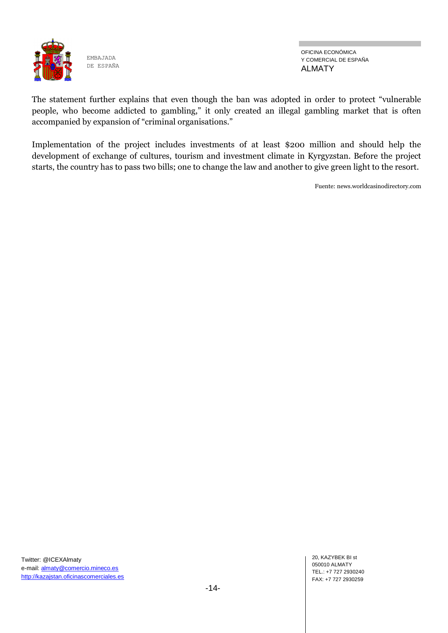

OFICINA ECONÓMICA Y COMERCIAL DE ESPAÑA ALMATY

The statement further explains that even though the ban was adopted in order to protect "vulnerable people, who become addicted to gambling," it only created an illegal gambling market that is often accompanied by expansion of "criminal organisations."

Implementation of the project includes investments of at least \$200 million and should help the development of exchange of cultures, tourism and investment climate in Kyrgyzstan. Before the project starts, the country has to pass two bills; one to change the law and another to give green light to the resort.

Fuente: news.worldcasinodirectory.com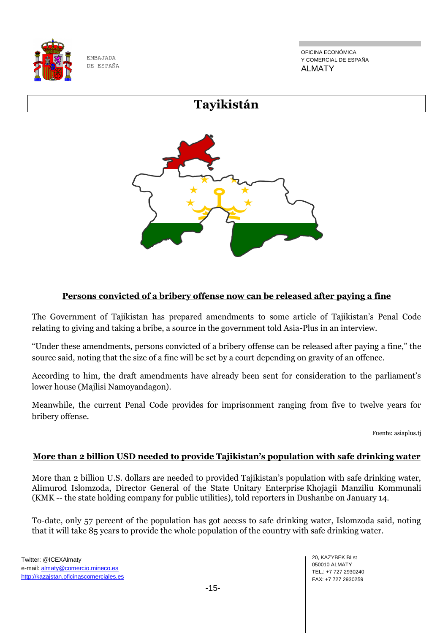

OFICINA ECONÓMICA Y COMERCIAL DE ESPAÑA ALMATY

# **Tayikistán**



## **Persons convicted of a bribery offense now can be released after paying a fine**

The Government of Tajikistan has prepared amendments to some article of Tajikistan's Penal Code relating to giving and taking a bribe, a source in the government told Asia-Plus in an interview.

"Under these amendments, persons convicted of a bribery offense can be released after paying a fine," the source said, noting that the size of a fine will be set by a court depending on gravity of an offence.

According to him, the draft amendments have already been sent for consideration to the parliament's lower house (Majlisi Namoyandagon).

Meanwhile, the current Penal Code provides for imprisonment ranging from five to twelve years for bribery offense.

Fuente: asiaplus.tj

#### **More than 2 billion USD needed to provide Tajikistan's population with safe drinking water**

More than 2 billion U.S. dollars are needed to provided Tajikistan's population with safe drinking water, Alimurod Islomzoda, Director General of the State Unitary Enterprise Khojagii Manziliu Kommunali (KMK -- the state holding company for public utilities), told reporters in Dushanbe on January 14.

To-date, only 57 percent of the population has got access to safe drinking water, Islomzoda said, noting that it will take 85 years to provide the whole population of the country with safe drinking water.